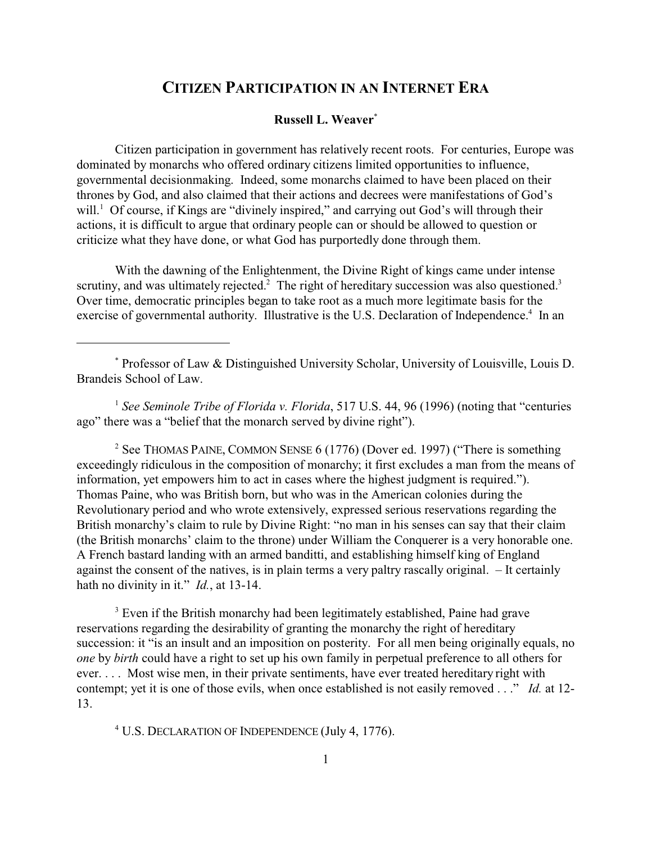# **CITIZEN PARTICIPATION IN AN INTERNET ERA**

### **Russell L. Weaver**\*

Citizen participation in government has relatively recent roots. For centuries, Europe was dominated by monarchs who offered ordinary citizens limited opportunities to influence, governmental decisionmaking. Indeed, some monarchs claimed to have been placed on their thrones by God, and also claimed that their actions and decrees were manifestations of God's will.<sup>1</sup> Of course, if Kings are "divinely inspired," and carrying out God's will through their actions, it is difficult to argue that ordinary people can or should be allowed to question or criticize what they have done, or what God has purportedly done through them.

With the dawning of the Enlightenment, the Divine Right of kings came under intense scrutiny, and was ultimately rejected.<sup>2</sup> The right of hereditary succession was also questioned.<sup>3</sup> Over time, democratic principles began to take root as a much more legitimate basis for the exercise of governmental authority. Illustrative is the U.S. Declaration of Independence.<sup>4</sup> In an

\* Professor of Law & Distinguished University Scholar, University of Louisville, Louis D. Brandeis School of Law.

<sup>1</sup> See Seminole Tribe of Florida v. Florida, 517 U.S. 44, 96 (1996) (noting that "centuries" ago" there was a "belief that the monarch served by divine right").

<sup>2</sup> See THOMAS PAINE, COMMON SENSE 6 (1776) (Dover ed. 1997) ("There is something exceedingly ridiculous in the composition of monarchy; it first excludes a man from the means of information, yet empowers him to act in cases where the highest judgment is required."). Thomas Paine, who was British born, but who was in the American colonies during the Revolutionary period and who wrote extensively, expressed serious reservations regarding the British monarchy's claim to rule by Divine Right: "no man in his senses can say that their claim (the British monarchs' claim to the throne) under William the Conquerer is a very honorable one. A French bastard landing with an armed banditti, and establishing himself king of England against the consent of the natives, is in plain terms a very paltry rascally original. – It certainly hath no divinity in it." *Id.*, at 13-14.

<sup>3</sup> Even if the British monarchy had been legitimately established, Paine had grave reservations regarding the desirability of granting the monarchy the right of hereditary succession: it "is an insult and an imposition on posterity. For all men being originally equals, no *one* by *birth* could have a right to set up his own family in perpetual preference to all others for ever. . . . Most wise men, in their private sentiments, have ever treated hereditary right with contempt; yet it is one of those evils, when once established is not easily removed . . ." *Id.* at 12- 13.

4 U.S. DECLARATION OF INDEPENDENCE (July 4, 1776).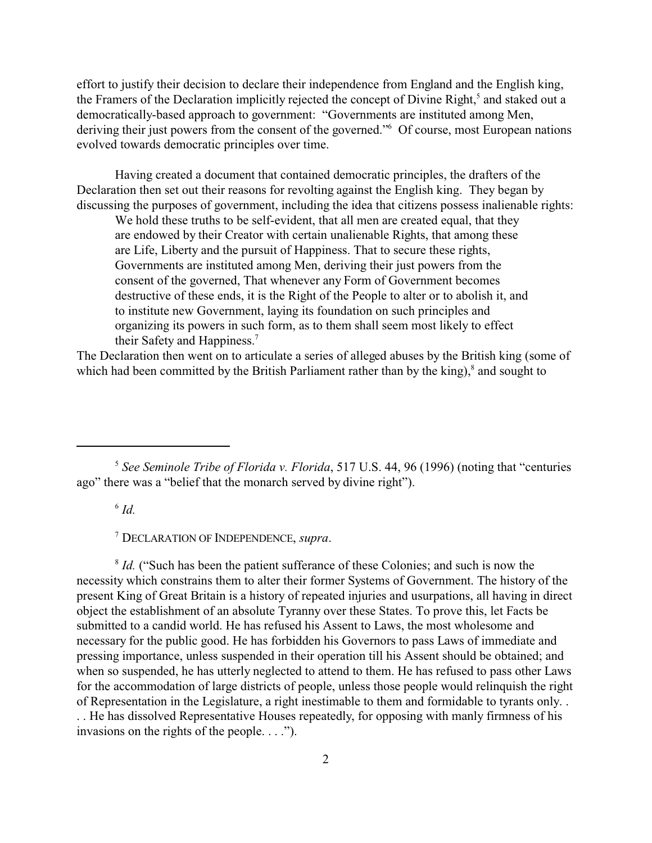effort to justify their decision to declare their independence from England and the English king, the Framers of the Declaration implicitly rejected the concept of Divine Right,<sup>5</sup> and staked out a democratically-based approach to government: "Governments are instituted among Men, deriving their just powers from the consent of the governed."6 Of course, most European nations evolved towards democratic principles over time.

Having created a document that contained democratic principles, the drafters of the Declaration then set out their reasons for revolting against the English king. They began by discussing the purposes of government, including the idea that citizens possess inalienable rights:

We hold these truths to be self-evident, that all men are created equal, that they are endowed by their Creator with certain unalienable Rights, that among these are Life, Liberty and the pursuit of Happiness. That to secure these rights, Governments are instituted among Men, deriving their just powers from the consent of the governed, That whenever any Form of Government becomes destructive of these ends, it is the Right of the People to alter or to abolish it, and to institute new Government, laying its foundation on such principles and organizing its powers in such form, as to them shall seem most likely to effect their Safety and Happiness.<sup>7</sup>

The Declaration then went on to articulate a series of alleged abuses by the British king (some of which had been committed by the British Parliament rather than by the king), $^8$  and sought to

 $^6$  *Id.* 

7 DECLARATION OF INDEPENDENCE, *supra*.

<sup>8</sup> *Id.* ("Such has been the patient sufferance of these Colonies; and such is now the necessity which constrains them to alter their former Systems of Government. The history of the present King of Great Britain is a history of repeated injuries and usurpations, all having in direct object the establishment of an absolute Tyranny over these States. To prove this, let Facts be submitted to a candid world. He has refused his Assent to Laws, the most wholesome and necessary for the public good. He has forbidden his Governors to pass Laws of immediate and pressing importance, unless suspended in their operation till his Assent should be obtained; and when so suspended, he has utterly neglected to attend to them. He has refused to pass other Laws for the accommodation of large districts of people, unless those people would relinquish the right of Representation in the Legislature, a right inestimable to them and formidable to tyrants only. . . . He has dissolved Representative Houses repeatedly, for opposing with manly firmness of his invasions on the rights of the people. . . .").

<sup>5</sup> *See Seminole Tribe of Florida v. Florida*, 517 U.S. 44, 96 (1996) (noting that "centuries ago" there was a "belief that the monarch served by divine right").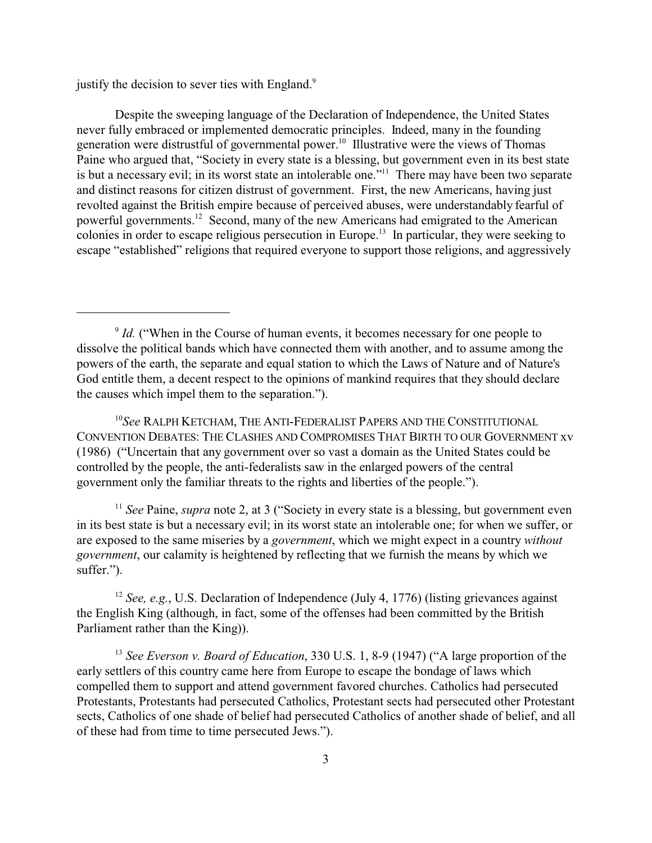justify the decision to sever ties with England.<sup>9</sup>

Despite the sweeping language of the Declaration of Independence, the United States never fully embraced or implemented democratic principles. Indeed, many in the founding generation were distrustful of governmental power.<sup>10</sup> Illustrative were the views of Thomas Paine who argued that, "Society in every state is a blessing, but government even in its best state is but a necessary evil; in its worst state an intolerable one."<sup>11</sup> There may have been two separate and distinct reasons for citizen distrust of government. First, the new Americans, having just revolted against the British empire because of perceived abuses, were understandably fearful of powerful governments.<sup>12</sup> Second, many of the new Americans had emigrated to the American colonies in order to escape religious persecution in Europe.<sup>13</sup> In particular, they were seeking to escape "established" religions that required everyone to support those religions, and aggressively

10 *See* RALPH KETCHAM, THE ANTI-FEDERALIST PAPERS AND THE CONSTITUTIONAL CONVENTION DEBATES: THE CLASHES AND COMPROMISES THAT BIRTH TO OUR GOVERNMENT xv (1986) ("Uncertain that any government over so vast a domain as the United States could be controlled by the people, the anti-federalists saw in the enlarged powers of the central government only the familiar threats to the rights and liberties of the people.").

<sup>11</sup> *See* Paine, *supra* note 2, at 3 ("Society in every state is a blessing, but government even in its best state is but a necessary evil; in its worst state an intolerable one; for when we suffer, or are exposed to the same miseries by a *government*, which we might expect in a country *without government*, our calamity is heightened by reflecting that we furnish the means by which we suffer.").

<sup>12</sup> *See, e.g.*, U.S. Declaration of Independence (July 4, 1776) (listing grievances against the English King (although, in fact, some of the offenses had been committed by the British Parliament rather than the King)).

<sup>13</sup> See Everson v. Board of Education, 330 U.S. 1, 8-9 (1947) ("A large proportion of the early settlers of this country came here from Europe to escape the bondage of laws which compelled them to support and attend government favored churches. Catholics had persecuted Protestants, Protestants had persecuted Catholics, Protestant sects had persecuted other Protestant sects, Catholics of one shade of belief had persecuted Catholics of another shade of belief, and all of these had from time to time persecuted Jews.").

<sup>&</sup>lt;sup>9</sup> *Id.* ("When in the Course of human events, it becomes necessary for one people to dissolve the political bands which have connected them with another, and to assume among the powers of the earth, the separate and equal station to which the Laws of Nature and of Nature's God entitle them, a decent respect to the opinions of mankind requires that they should declare the causes which impel them to the separation.").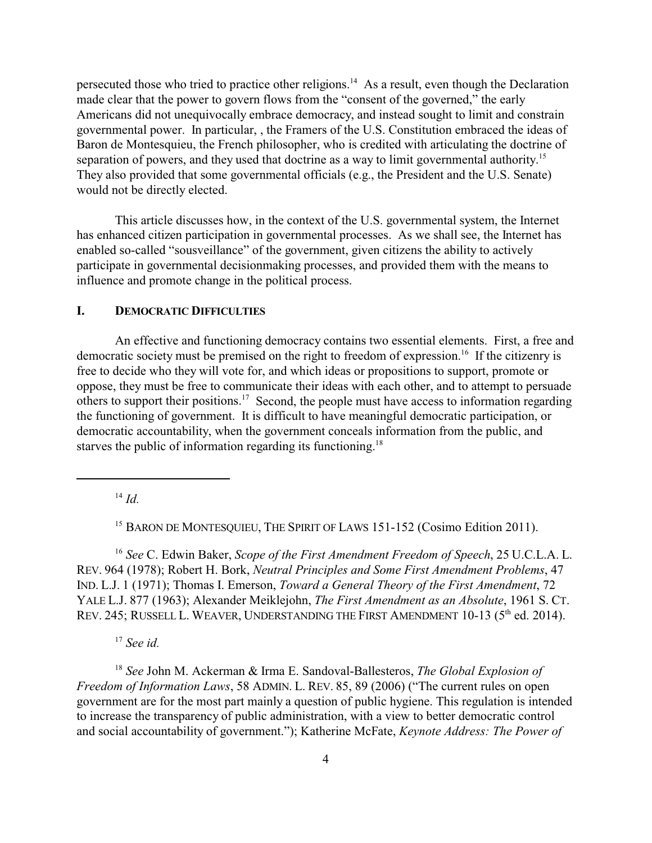persecuted those who tried to practice other religions.<sup>14</sup> As a result, even though the Declaration made clear that the power to govern flows from the "consent of the governed," the early Americans did not unequivocally embrace democracy, and instead sought to limit and constrain governmental power. In particular, , the Framers of the U.S. Constitution embraced the ideas of Baron de Montesquieu, the French philosopher, who is credited with articulating the doctrine of separation of powers, and they used that doctrine as a way to limit governmental authority.<sup>15</sup> They also provided that some governmental officials (e.g., the President and the U.S. Senate) would not be directly elected.

This article discusses how, in the context of the U.S. governmental system, the Internet has enhanced citizen participation in governmental processes. As we shall see, the Internet has enabled so-called "sousveillance" of the government, given citizens the ability to actively participate in governmental decisionmaking processes, and provided them with the means to influence and promote change in the political process.

#### **I. DEMOCRATIC DIFFICULTIES**

An effective and functioning democracy contains two essential elements. First, a free and democratic society must be premised on the right to freedom of expression.<sup>16</sup> If the citizenry is free to decide who they will vote for, and which ideas or propositions to support, promote or oppose, they must be free to communicate their ideas with each other, and to attempt to persuade others to support their positions.<sup>17</sup> Second, the people must have access to information regarding the functioning of government. It is difficult to have meaningful democratic participation, or democratic accountability, when the government conceals information from the public, and starves the public of information regarding its functioning.<sup>18</sup>

14  *Id.*

<sup>15</sup> BARON DE MONTESQUIEU, THE SPIRIT OF LAWS 151-152 (Cosimo Edition 2011).

<sup>16</sup> *See* C. Edwin Baker, *Scope of the First Amendment Freedom of Speech*, 25 U.C.L.A. L. REV. 964 (1978); Robert H. Bork, *Neutral Principles and Some First Amendment Problems*, 47 IND. L.J. 1 (1971); Thomas I. Emerson, *Toward a General Theory of the First Amendment*, 72 YALE L.J. 877 (1963); Alexander Meiklejohn, *The First Amendment as an Absolute*, 1961 S. CT. REV. 245; RUSSELL L. WEAVER, UNDERSTANDING THE FIRST AMENDMENT 10-13 (5<sup>th</sup> ed. 2014).

17  *See id.*

<sup>18</sup> *See* John M. Ackerman & Irma E. Sandoval-Ballesteros, *The Global Explosion of Freedom of Information Laws*, 58 ADMIN. L. REV. 85, 89 (2006) ("The current rules on open government are for the most part mainly a question of public hygiene. This regulation is intended to increase the transparency of public administration, with a view to better democratic control and social accountability of government."); Katherine McFate, *Keynote Address: The Power of*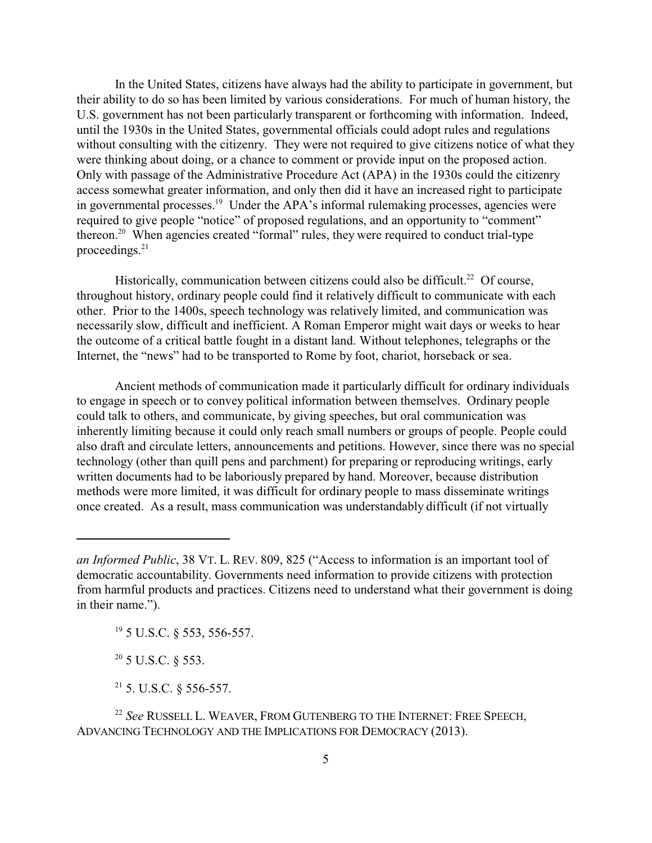In the United States, citizens have always had the ability to participate in government, but their ability to do so has been limited by various considerations. For much of human history, the U.S. government has not been particularly transparent or forthcoming with information. Indeed, until the 1930s in the United States, governmental officials could adopt rules and regulations without consulting with the citizenry. They were not required to give citizens notice of what they were thinking about doing, or a chance to comment or provide input on the proposed action. Only with passage of the Administrative Procedure Act (APA) in the 1930s could the citizenry access somewhat greater information, and only then did it have an increased right to participate in governmental processes.<sup>19</sup> Under the APA's informal rulemaking processes, agencies were required to give people "notice" of proposed regulations, and an opportunity to "comment" thereon.<sup>20</sup> When agencies created "formal" rules, they were required to conduct trial-type proceedings.21

Historically, communication between citizens could also be difficult.<sup>22</sup> Of course, throughout history, ordinary people could find it relatively difficult to communicate with each other. Prior to the 1400s, speech technology was relatively limited, and communication was necessarily slow, difficult and inefficient. A Roman Emperor might wait days or weeks to hear the outcome of a critical battle fought in a distant land. Without telephones, telegraphs or the Internet, the "news" had to be transported to Rome by foot, chariot, horseback or sea.

Ancient methods of communication made it particularly difficult for ordinary individuals to engage in speech or to convey political information between themselves. Ordinary people could talk to others, and communicate, by giving speeches, but oral communication was inherently limiting because it could only reach small numbers or groups of people. People could also draft and circulate letters, announcements and petitions. However, since there was no special technology (other than quill pens and parchment) for preparing or reproducing writings, early written documents had to be laboriously prepared by hand. Moreover, because distribution methods were more limited, it was difficult for ordinary people to mass disseminate writings once created. As a result, mass communication was understandably difficult (if not virtually

19 5 U.S.C. § 553, 556-557.

 $20$  5 U.S.C. § 553.

 $21$  5. U.S.C. § 556-557.

22  *See* RUSSELL L. WEAVER, FROM GUTENBERG TO THE INTERNET: FREE SPEECH, ADVANCING TECHNOLOGY AND THE IMPLICATIONS FOR DEMOCRACY (2013).

*an Informed Public*, 38 VT. L. REV. 809, 825 ("Access to information is an important tool of democratic accountability. Governments need information to provide citizens with protection from harmful products and practices. Citizens need to understand what their government is doing in their name.").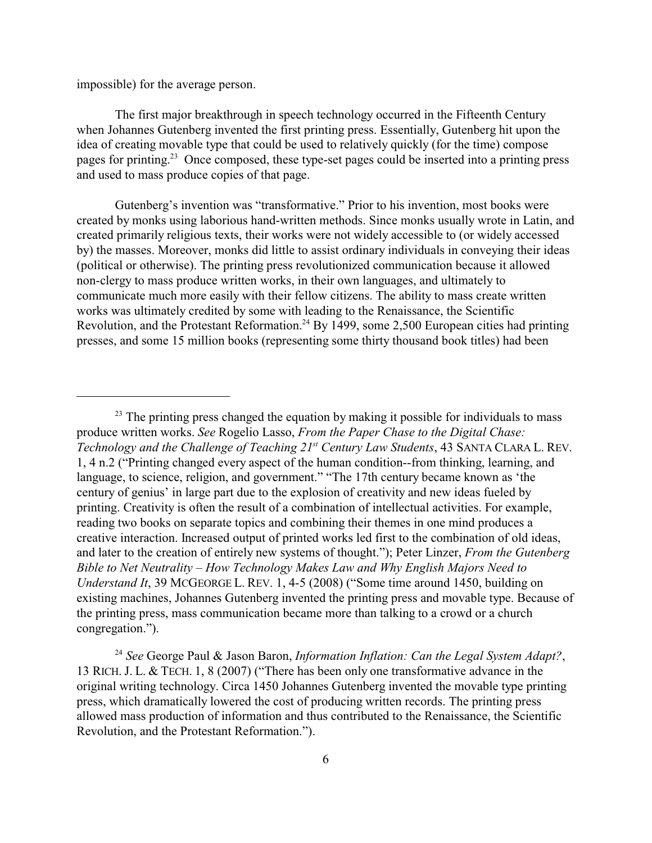impossible) for the average person.

The first major breakthrough in speech technology occurred in the Fifteenth Century when Johannes Gutenberg invented the first printing press. Essentially, Gutenberg hit upon the idea of creating movable type that could be used to relatively quickly (for the time) compose pages for printing.<sup>23</sup> Once composed, these type-set pages could be inserted into a printing press and used to mass produce copies of that page.

Gutenberg's invention was "transformative." Prior to his invention, most books were created by monks using laborious hand-written methods. Since monks usually wrote in Latin, and created primarily religious texts, their works were not widely accessible to (or widely accessed by) the masses. Moreover, monks did little to assist ordinary individuals in conveying their ideas (political or otherwise). The printing press revolutionized communication because it allowed non-clergy to mass produce written works, in their own languages, and ultimately to communicate much more easily with their fellow citizens. The ability to mass create written works was ultimately credited by some with leading to the Renaissance, the Scientific Revolution, and the Protestant Reformation.<sup>24</sup> By 1499, some 2,500 European cities had printing presses, and some 15 million books (representing some thirty thousand book titles) had been

<sup>&</sup>lt;sup>23</sup> The printing press changed the equation by making it possible for individuals to mass produce written works. *See* Rogelio Lasso, *From the Paper Chase to the Digital Chase:* Technology and the Challenge of Teaching 21<sup>st</sup> Century Law Students, 43 SANTA CLARA L. REV. 1, 4 n.2 ("Printing changed every aspect of the human condition--from thinking, learning, and language, to science, religion, and government." "The 17th century became known as 'the century of genius' in large part due to the explosion of creativity and new ideas fueled by printing. Creativity is often the result of a combination of intellectual activities. For example, reading two books on separate topics and combining their themes in one mind produces a creative interaction. Increased output of printed works led first to the combination of old ideas, and later to the creation of entirely new systems of thought."); Peter Linzer, *From the Gutenberg Bible to Net Neutrality – How Technology Makes Law and Why English Majors Need to Understand It*, 39 MCGEORGE L. REV. 1, 4-5 (2008) ("Some time around 1450, building on existing machines, Johannes Gutenberg invented the printing press and movable type. Because of the printing press, mass communication became more than talking to a crowd or a church congregation.").

<sup>24</sup>  *See* George Paul & Jason Baron, *Information Inflation: Can the Legal System Adapt?*, 13 RICH. J. L. & TECH. 1, 8 (2007) ("There has been only one transformative advance in the original writing technology. Circa 1450 Johannes Gutenberg invented the movable type printing press, which dramatically lowered the cost of producing written records. The printing press allowed mass production of information and thus contributed to the Renaissance, the Scientific Revolution, and the Protestant Reformation.").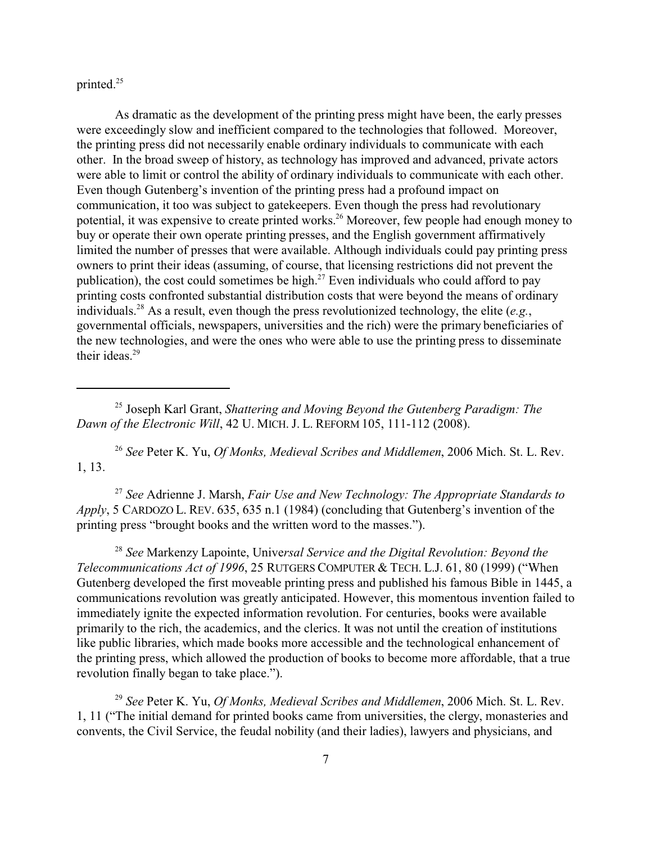printed.<sup>25</sup>

As dramatic as the development of the printing press might have been, the early presses were exceedingly slow and inefficient compared to the technologies that followed. Moreover, the printing press did not necessarily enable ordinary individuals to communicate with each other. In the broad sweep of history, as technology has improved and advanced, private actors were able to limit or control the ability of ordinary individuals to communicate with each other. Even though Gutenberg's invention of the printing press had a profound impact on communication, it too was subject to gatekeepers. Even though the press had revolutionary potential, it was expensive to create printed works.<sup>26</sup> Moreover, few people had enough money to buy or operate their own operate printing presses, and the English government affirmatively limited the number of presses that were available. Although individuals could pay printing press owners to print their ideas (assuming, of course, that licensing restrictions did not prevent the publication), the cost could sometimes be high. $27$  Even individuals who could afford to pay printing costs confronted substantial distribution costs that were beyond the means of ordinary individuals.28 As a result, even though the press revolutionized technology, the elite (*e.g.*, governmental officials, newspapers, universities and the rich) were the primary beneficiaries of the new technologies, and were the ones who were able to use the printing press to disseminate their ideas. $29$ 

25 Joseph Karl Grant, *Shattering and Moving Beyond the Gutenberg Paradigm: The Dawn of the Electronic Will*, 42 U. MICH. J. L. REFORM 105, 111-112 (2008).

26  *See* Peter K. Yu, *Of Monks, Medieval Scribes and Middlemen*, 2006 Mich. St. L. Rev. 1, 13.

<sup>27</sup> *See* Adrienne J. Marsh, *Fair Use and New Technology: The Appropriate Standards to Apply*, 5 CARDOZO L. REV. 635, 635 n.1 (1984) (concluding that Gutenberg's invention of the printing press "brought books and the written word to the masses.").

<sup>28</sup> *See* Markenzy Lapointe, Unive*rsal Service and the Digital Revolution: Beyond the Telecommunications Act of 1996*, 25 RUTGERS COMPUTER & TECH. L.J. 61, 80 (1999) ("When Gutenberg developed the first moveable printing press and published his famous Bible in 1445, a communications revolution was greatly anticipated. However, this momentous invention failed to immediately ignite the expected information revolution. For centuries, books were available primarily to the rich, the academics, and the clerics. It was not until the creation of institutions like public libraries, which made books more accessible and the technological enhancement of the printing press, which allowed the production of books to become more affordable, that a true revolution finally began to take place.").

29  *See* Peter K. Yu, *Of Monks, Medieval Scribes and Middlemen*, 2006 Mich. St. L. Rev. 1, 11 ("The initial demand for printed books came from universities, the clergy, monasteries and convents, the Civil Service, the feudal nobility (and their ladies), lawyers and physicians, and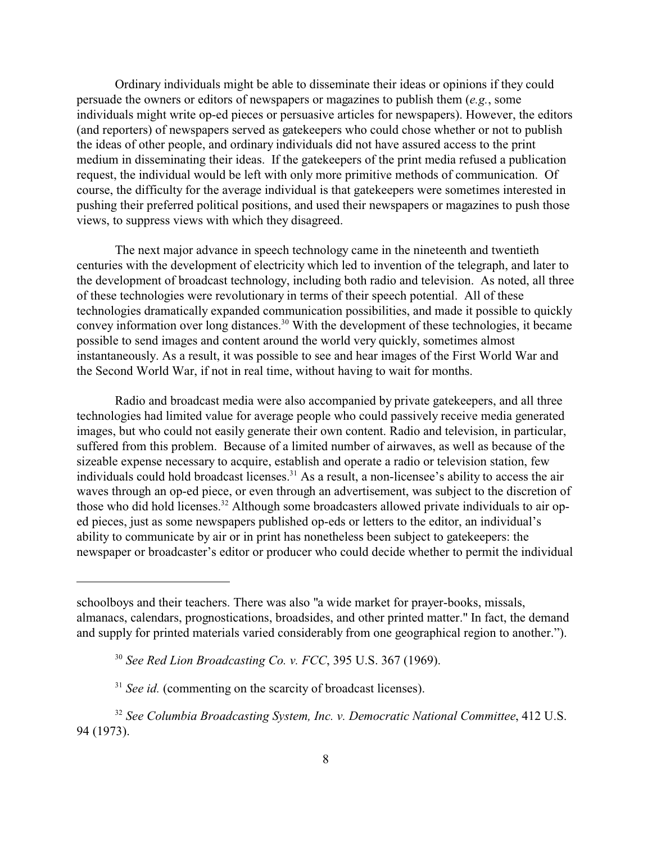Ordinary individuals might be able to disseminate their ideas or opinions if they could persuade the owners or editors of newspapers or magazines to publish them (*e.g.*, some individuals might write op-ed pieces or persuasive articles for newspapers). However, the editors (and reporters) of newspapers served as gatekeepers who could chose whether or not to publish the ideas of other people, and ordinary individuals did not have assured access to the print medium in disseminating their ideas. If the gatekeepers of the print media refused a publication request, the individual would be left with only more primitive methods of communication. Of course, the difficulty for the average individual is that gatekeepers were sometimes interested in pushing their preferred political positions, and used their newspapers or magazines to push those views, to suppress views with which they disagreed.

The next major advance in speech technology came in the nineteenth and twentieth centuries with the development of electricity which led to invention of the telegraph, and later to the development of broadcast technology, including both radio and television. As noted, all three of these technologies were revolutionary in terms of their speech potential. All of these technologies dramatically expanded communication possibilities, and made it possible to quickly convey information over long distances.<sup>30</sup> With the development of these technologies, it became possible to send images and content around the world very quickly, sometimes almost instantaneously. As a result, it was possible to see and hear images of the First World War and the Second World War, if not in real time, without having to wait for months.

Radio and broadcast media were also accompanied by private gatekeepers, and all three technologies had limited value for average people who could passively receive media generated images, but who could not easily generate their own content. Radio and television, in particular, suffered from this problem. Because of a limited number of airwaves, as well as because of the sizeable expense necessary to acquire, establish and operate a radio or television station, few individuals could hold broadcast licenses.<sup>31</sup> As a result, a non-licensee's ability to access the air waves through an op-ed piece, or even through an advertisement, was subject to the discretion of those who did hold licenses.<sup>32</sup> Although some broadcasters allowed private individuals to air oped pieces, just as some newspapers published op-eds or letters to the editor, an individual's ability to communicate by air or in print has nonetheless been subject to gatekeepers: the newspaper or broadcaster's editor or producer who could decide whether to permit the individual

schoolboys and their teachers. There was also "a wide market for prayer-books, missals, almanacs, calendars, prognostications, broadsides, and other printed matter." In fact, the demand and supply for printed materials varied considerably from one geographical region to another.").

<sup>30</sup>  *See Red Lion Broadcasting Co. v. FCC*, 395 U.S. 367 (1969).

<sup>&</sup>lt;sup>31</sup> See id. (commenting on the scarcity of broadcast licenses).

<sup>32</sup> *See Columbia Broadcasting System, Inc. v. Democratic National Committee*, 412 U.S. 94 (1973).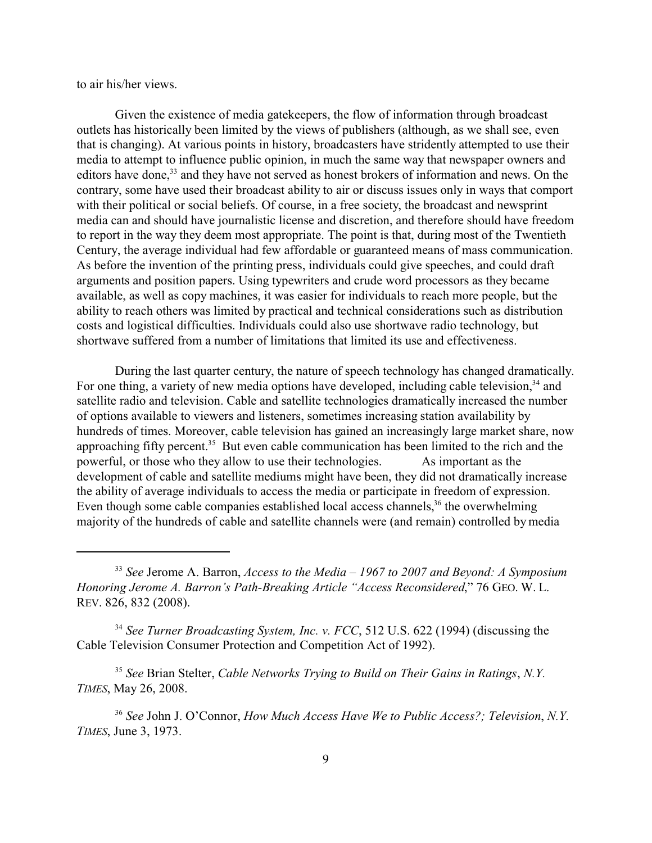to air his/her views.

Given the existence of media gatekeepers, the flow of information through broadcast outlets has historically been limited by the views of publishers (although, as we shall see, even that is changing). At various points in history, broadcasters have stridently attempted to use their media to attempt to influence public opinion, in much the same way that newspaper owners and editors have done,<sup>33</sup> and they have not served as honest brokers of information and news. On the contrary, some have used their broadcast ability to air or discuss issues only in ways that comport with their political or social beliefs. Of course, in a free society, the broadcast and newsprint media can and should have journalistic license and discretion, and therefore should have freedom to report in the way they deem most appropriate. The point is that, during most of the Twentieth Century, the average individual had few affordable or guaranteed means of mass communication. As before the invention of the printing press, individuals could give speeches, and could draft arguments and position papers. Using typewriters and crude word processors as they became available, as well as copy machines, it was easier for individuals to reach more people, but the ability to reach others was limited by practical and technical considerations such as distribution costs and logistical difficulties. Individuals could also use shortwave radio technology, but shortwave suffered from a number of limitations that limited its use and effectiveness.

During the last quarter century, the nature of speech technology has changed dramatically. For one thing, a variety of new media options have developed, including cable television,<sup>34</sup> and satellite radio and television. Cable and satellite technologies dramatically increased the number of options available to viewers and listeners, sometimes increasing station availability by hundreds of times. Moreover, cable television has gained an increasingly large market share, now approaching fifty percent.<sup>35</sup> But even cable communication has been limited to the rich and the powerful, or those who they allow to use their technologies. As important as the development of cable and satellite mediums might have been, they did not dramatically increase the ability of average individuals to access the media or participate in freedom of expression. Even though some cable companies established local access channels, $36$  the overwhelming majority of the hundreds of cable and satellite channels were (and remain) controlled by media

<sup>33</sup>  *See* Jerome A. Barron, *Access to the Media – 1967 to 2007 and Beyond: A Symposium Honoring Jerome A. Barron's Path-Breaking Article "Access Reconsidered*," 76 GEO. W. L. REV. 826, 832 (2008).

<sup>34</sup> *See Turner Broadcasting System, Inc. v. FCC*, 512 U.S. 622 (1994) (discussing the Cable Television Consumer Protection and Competition Act of 1992).

<sup>35</sup>  *See* Brian Stelter, *Cable Networks Trying to Build on Their Gains in Ratings*, *N.Y. TIMES*, May 26, 2008.

<sup>36</sup> *See* John J. O'Connor, *How Much Access Have We to Public Access?; Television*, *N.Y. TIMES*, June 3, 1973.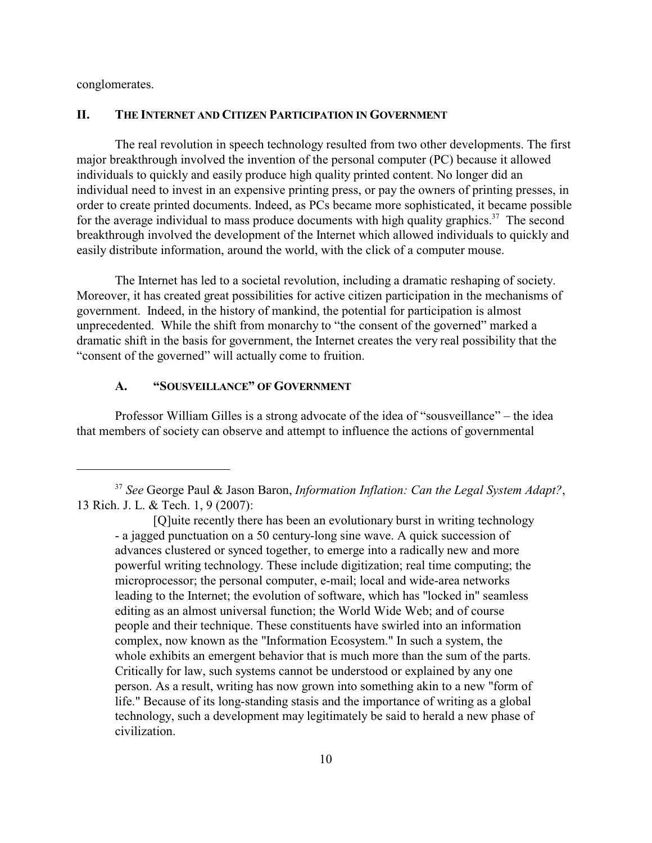conglomerates.

#### **II. THE INTERNET AND CITIZEN PARTICIPATION IN GOVERNMENT**

The real revolution in speech technology resulted from two other developments. The first major breakthrough involved the invention of the personal computer (PC) because it allowed individuals to quickly and easily produce high quality printed content. No longer did an individual need to invest in an expensive printing press, or pay the owners of printing presses, in order to create printed documents. Indeed, as PCs became more sophisticated, it became possible for the average individual to mass produce documents with high quality graphics.<sup>37</sup> The second breakthrough involved the development of the Internet which allowed individuals to quickly and easily distribute information, around the world, with the click of a computer mouse.

The Internet has led to a societal revolution, including a dramatic reshaping of society. Moreover, it has created great possibilities for active citizen participation in the mechanisms of government. Indeed, in the history of mankind, the potential for participation is almost unprecedented. While the shift from monarchy to "the consent of the governed" marked a dramatic shift in the basis for government, the Internet creates the very real possibility that the "consent of the governed" will actually come to fruition.

### **A. "SOUSVEILLANCE" OF GOVERNMENT**

Professor William Gilles is a strong advocate of the idea of "sousveillance" – the idea that members of society can observe and attempt to influence the actions of governmental

<sup>37</sup>  *See* George Paul & Jason Baron, *Information Inflation: Can the Legal System Adapt?*, 13 Rich. J. L. & Tech. 1, 9 (2007):

<sup>[</sup>Q]uite recently there has been an evolutionary burst in writing technology - a jagged punctuation on a 50 century-long sine wave. A quick succession of advances clustered or synced together, to emerge into a radically new and more powerful writing technology. These include digitization; real time computing; the microprocessor; the personal computer, e-mail; local and wide-area networks leading to the Internet; the evolution of software, which has "locked in" seamless editing as an almost universal function; the World Wide Web; and of course people and their technique. These constituents have swirled into an information complex, now known as the "Information Ecosystem." In such a system, the whole exhibits an emergent behavior that is much more than the sum of the parts. Critically for law, such systems cannot be understood or explained by any one person. As a result, writing has now grown into something akin to a new "form of life." Because of its long-standing stasis and the importance of writing as a global technology, such a development may legitimately be said to herald a new phase of civilization.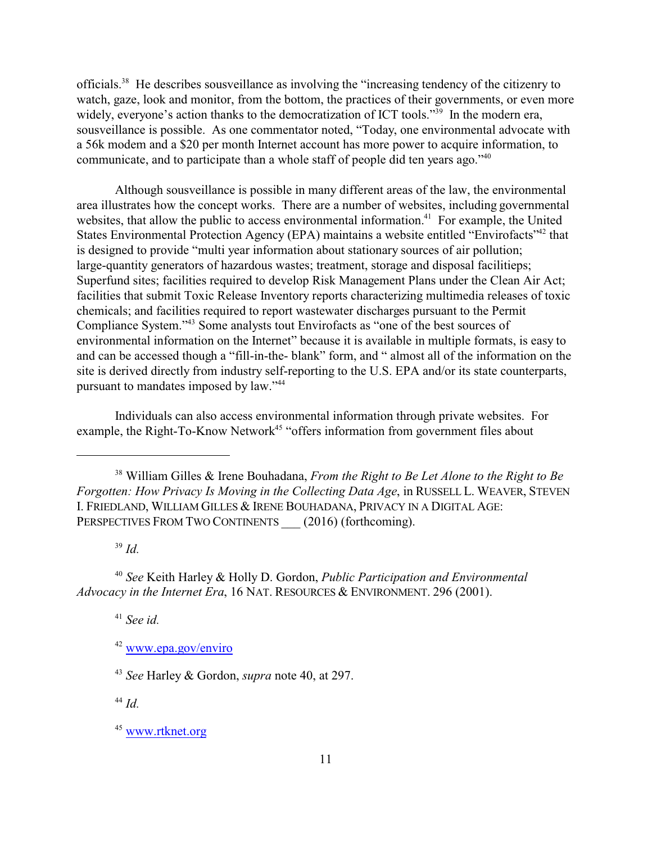officials.<sup>38</sup> He describes sousveillance as involving the "increasing tendency of the citizenry to watch, gaze, look and monitor, from the bottom, the practices of their governments, or even more widely, everyone's action thanks to the democratization of ICT tools."<sup>39</sup> In the modern era, sousveillance is possible. As one commentator noted, "Today, one environmental advocate with a 56k modem and a \$20 per month Internet account has more power to acquire information, to communicate, and to participate than a whole staff of people did ten years ago."<sup>40</sup>

Although sousveillance is possible in many different areas of the law, the environmental area illustrates how the concept works. There are a number of websites, including governmental websites, that allow the public to access environmental information.<sup>41</sup> For example, the United States Environmental Protection Agency (EPA) maintains a website entitled "Envirofacts"<sup>42</sup> that is designed to provide "multi year information about stationary sources of air pollution; large-quantity generators of hazardous wastes; treatment, storage and disposal facilitieps; Superfund sites; facilities required to develop Risk Management Plans under the Clean Air Act; facilities that submit Toxic Release Inventory reports characterizing multimedia releases of toxic chemicals; and facilities required to report wastewater discharges pursuant to the Permit Compliance System."43 Some analysts tout Envirofacts as "one of the best sources of environmental information on the Internet" because it is available in multiple formats, is easy to and can be accessed though a "fill-in-the- blank" form, and " almost all of the information on the site is derived directly from industry self-reporting to the U.S. EPA and/or its state counterparts, pursuant to mandates imposed by law."<sup>44</sup>

Individuals can also access environmental information through private websites. For example, the Right-To-Know Network<sup>45</sup> "offers information from government files about

39  *Id.* 

40  *See* Keith Harley & Holly D. Gordon, *Public Participation and Environmental Advocacy in the Internet Era*, 16 NAT. RESOURCES & ENVIRONMENT. 296 (2001).

41  *See id.*

44  *Id.*

<sup>45</sup> [www.rtknet.org](http://www.rtknet.org)

<sup>38</sup> William Gilles & Irene Bouhadana, *From the Right to Be Let Alone to the Right to Be Forgotten: How Privacy Is Moving in the Collecting Data Age*, in RUSSELL L. WEAVER, STEVEN I. FRIEDLAND, WILLIAM GILLES & IRENE BOUHADANA, PRIVACY IN A DIGITAL AGE: PERSPECTIVES FROM TWO CONTINENTS \_\_\_ (2016) (forthcoming).

<sup>42</sup> [www.epa.gov/enviro](http://www.epa.gov/enviro)

<sup>43</sup>  *See* Harley & Gordon, *supra* note 40, at 297.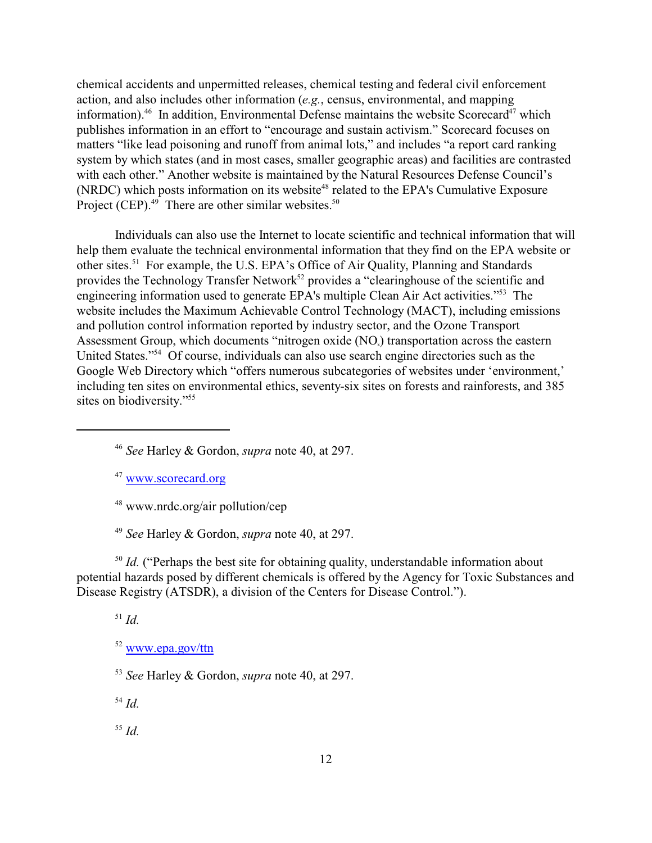chemical accidents and unpermitted releases, chemical testing and federal civil enforcement action, and also includes other information (*e.g.*, census, environmental, and mapping information).<sup>46</sup> In addition, Environmental Defense maintains the website Scorecard<sup>47</sup> which publishes information in an effort to "encourage and sustain activism." Scorecard focuses on matters "like lead poisoning and runoff from animal lots," and includes "a report card ranking system by which states (and in most cases, smaller geographic areas) and facilities are contrasted with each other." Another website is maintained by the Natural Resources Defense Council's (NRDC) which posts information on its website<sup>48</sup> related to the EPA's Cumulative Exposure Project (CEP). $49$  There are other similar websites. $50$ 

Individuals can also use the Internet to locate scientific and technical information that will help them evaluate the technical environmental information that they find on the EPA website or other sites.<sup>51</sup> For example, the U.S. EPA's Office of Air Quality, Planning and Standards provides the Technology Transfer Network<sup>52</sup> provides a "clearinghouse of the scientific and engineering information used to generate EPA's multiple Clean Air Act activities."53 The website includes the Maximum Achievable Control Technology (MACT), including emissions and pollution control information reported by industry sector, and the Ozone Transport Assessment Group, which documents "nitrogen oxide (NO<sub>x</sub>) transportation across the eastern United States."<sup>54</sup> Of course, individuals can also use search engine directories such as the Google Web Directory which "offers numerous subcategories of websites under 'environment,' including ten sites on environmental ethics, seventy-six sites on forests and rainforests, and 385 sites on biodiversity."<sup>55</sup>

<sup>47</sup> [www.scorecard.org](http://www.scorecard.org)

48 www.nrdc.org/air pollution/cep

49  *See* Harley & Gordon, *supra* note 40, at 297.

<sup>50</sup> Id. ("Perhaps the best site for obtaining quality, understandable information about potential hazards posed by different chemicals is offered by the Agency for Toxic Substances and Disease Registry (ATSDR), a division of the Centers for Disease Control.").

51  *Id.*

<sup>52</sup> [www.epa.gov/ttn](http://www.epa.gov/ttn)

53  *See* Harley & Gordon, *supra* note 40, at 297.

54  *Id.*

<sup>46</sup>  *See* Harley & Gordon, *supra* note 40, at 297.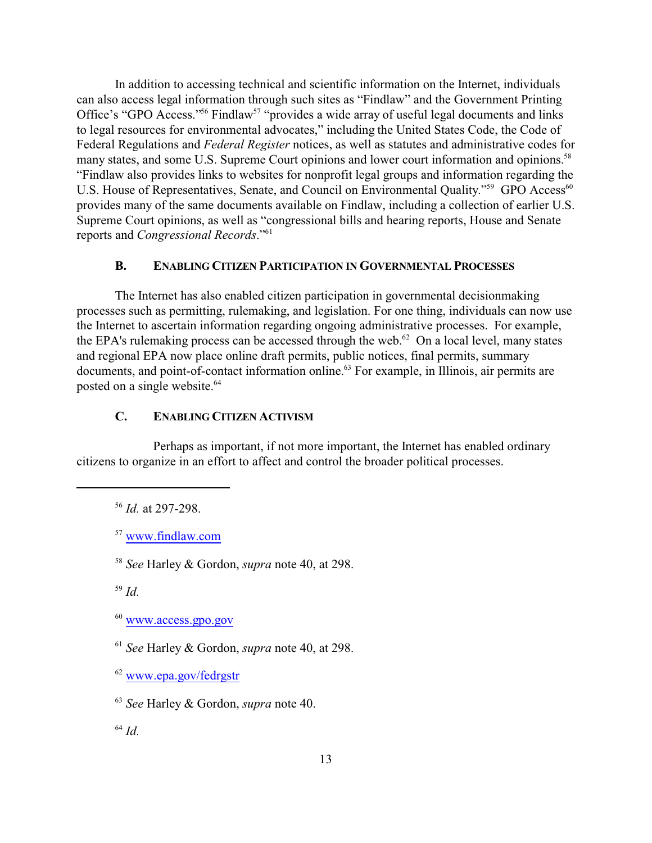In addition to accessing technical and scientific information on the Internet, individuals can also access legal information through such sites as "Findlaw" and the Government Printing Office's "GPO Access."<sup>56</sup> Findlaw<sup>57</sup> "provides a wide array of useful legal documents and links to legal resources for environmental advocates," including the United States Code, the Code of Federal Regulations and *Federal Register* notices, as well as statutes and administrative codes for many states, and some U.S. Supreme Court opinions and lower court information and opinions.<sup>58</sup> "Findlaw also provides links to websites for nonprofit legal groups and information regarding the U.S. House of Representatives, Senate, and Council on Environmental Quality."<sup>59</sup> GPO Access<sup>60</sup> provides many of the same documents available on Findlaw, including a collection of earlier U.S. Supreme Court opinions, as well as "congressional bills and hearing reports, House and Senate reports and *Congressional Records*."61

## **B. ENABLING CITIZEN PARTICIPATION IN GOVERNMENTAL PROCESSES**

The Internet has also enabled citizen participation in governmental decisionmaking processes such as permitting, rulemaking, and legislation. For one thing, individuals can now use the Internet to ascertain information regarding ongoing administrative processes. For example, the EPA's rulemaking process can be accessed through the web. $^{62}$  On a local level, many states and regional EPA now place online draft permits, public notices, final permits, summary documents, and point-of-contact information online.<sup>63</sup> For example, in Illinois, air permits are posted on a single website.<sup>64</sup>

### **C. ENABLING CITIZEN ACTIVISM**

Perhaps as important, if not more important, the Internet has enabled ordinary citizens to organize in an effort to affect and control the broader political processes.

<sup>62</sup> [www.epa.gov/fedrgstr](http://www.epa.gov/fedrgstr)

<sup>56</sup>  *Id.* at 297-298.

<sup>57</sup> [www.findlaw.com](http://www.findlaw.com)

<sup>58</sup>  *See* Harley & Gordon, *supra* note 40, at 298.

<sup>59</sup>  *Id.*

<sup>60</sup> [www.access.gpo.gov](http://www.access.gpo.gov)

<sup>61</sup>  *See* Harley & Gordon, *supra* note 40, at 298.

<sup>63</sup> *See* Harley & Gordon, *supra* note 40.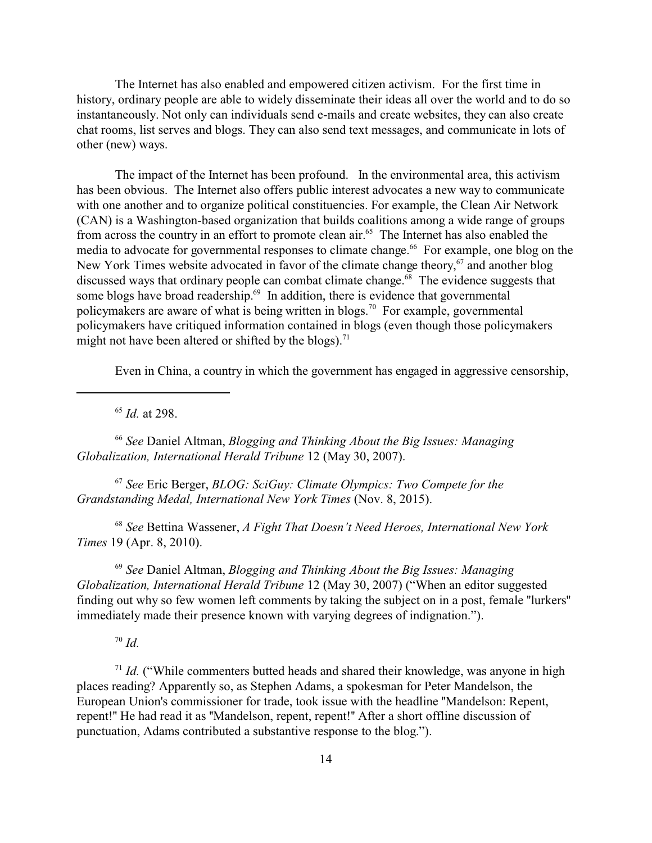The Internet has also enabled and empowered citizen activism. For the first time in history, ordinary people are able to widely disseminate their ideas all over the world and to do so instantaneously. Not only can individuals send e-mails and create websites, they can also create chat rooms, list serves and blogs. They can also send text messages, and communicate in lots of other (new) ways.

The impact of the Internet has been profound. In the environmental area, this activism has been obvious. The Internet also offers public interest advocates a new way to communicate with one another and to organize political constituencies. For example, the Clean Air Network (CAN) is a Washington-based organization that builds coalitions among a wide range of groups from across the country in an effort to promote clean air.<sup>65</sup> The Internet has also enabled the media to advocate for governmental responses to climate change.<sup>66</sup> For example, one blog on the New York Times website advocated in favor of the climate change theory,<sup>67</sup> and another blog discussed ways that ordinary people can combat climate change.<sup>68</sup> The evidence suggests that some blogs have broad readership.<sup>69</sup> In addition, there is evidence that governmental policymakers are aware of what is being written in blogs.<sup>70</sup> For example, governmental policymakers have critiqued information contained in blogs (even though those policymakers might not have been altered or shifted by the blogs).<sup>71</sup>

Even in China, a country in which the government has engaged in aggressive censorship,

65  *Id.* at 298.

<sup>66</sup> *See* Daniel Altman, *Blogging and Thinking About the Big Issues: Managing Globalization, International Herald Tribune* 12 (May 30, 2007).

<sup>67</sup> *See* Eric Berger, *BLOG: SciGuy: Climate Olympics: Two Compete for the Grandstanding Medal, International New York Times* (Nov. 8, 2015).

<sup>68</sup> *See* Bettina Wassener, *A Fight That Doesn't Need Heroes, International New York Times* 19 (Apr. 8, 2010).

<sup>69</sup> *See* Daniel Altman, *Blogging and Thinking About the Big Issues: Managing Globalization, International Herald Tribune* 12 (May 30, 2007) ("When an editor suggested finding out why so few women left comments by taking the subject on in a post, female ''lurkers'' immediately made their presence known with varying degrees of indignation.").

 $70$  *Id.* 

<sup>71</sup> *Id.* ("While commenters butted heads and shared their knowledge, was anyone in high places reading? Apparently so, as Stephen Adams, a spokesman for Peter Mandelson, the European Union's commissioner for trade, took issue with the headline ''Mandelson: Repent, repent!'' He had read it as ''Mandelson, repent, repent!'' After a short offline discussion of punctuation, Adams contributed a substantive response to the blog.").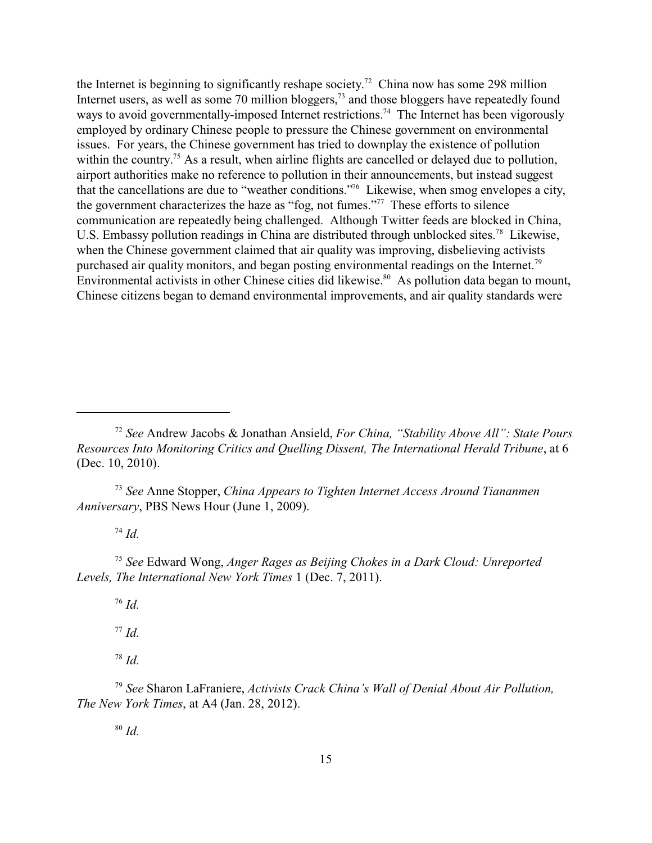the Internet is beginning to significantly reshape society.<sup>72</sup> China now has some 298 million Internet users, as well as some 70 million bloggers,<sup>73</sup> and those bloggers have repeatedly found ways to avoid governmentally-imposed Internet restrictions.<sup>74</sup> The Internet has been vigorously employed by ordinary Chinese people to pressure the Chinese government on environmental issues. For years, the Chinese government has tried to downplay the existence of pollution within the country.<sup>75</sup> As a result, when airline flights are cancelled or delayed due to pollution, airport authorities make no reference to pollution in their announcements, but instead suggest that the cancellations are due to "weather conditions."76 Likewise, when smog envelopes a city, the government characterizes the haze as "fog, not fumes."77 These efforts to silence communication are repeatedly being challenged. Although Twitter feeds are blocked in China, U.S. Embassy pollution readings in China are distributed through unblocked sites.<sup>78</sup> Likewise, when the Chinese government claimed that air quality was improving, disbelieving activists purchased air quality monitors, and began posting environmental readings on the Internet.<sup>79</sup> Environmental activists in other Chinese cities did likewise.<sup>80</sup> As pollution data began to mount, Chinese citizens began to demand environmental improvements, and air quality standards were

<sup>73</sup> *See* Anne Stopper, *China Appears to Tighten Internet Access Around Tiananmen Anniversary*, PBS News Hour (June 1, 2009).

<sup>74</sup> *Id.*

<sup>75</sup> *See* Edward Wong, *Anger Rages as Beijing Chokes in a Dark Cloud: Unreported Levels, The International New York Times* 1 (Dec. 7, 2011).

76  *Id.*

77  *Id.*

78  *Id.*

<sup>79</sup> *See* Sharon LaFraniere, *Activists Crack China's Wall of Denial About Air Pollution, The New York Times*, at A4 (Jan. 28, 2012).

<sup>72</sup> *See* Andrew Jacobs & Jonathan Ansield, *For China, "Stability Above All": State Pours Resources Into Monitoring Critics and Quelling Dissent, The International Herald Tribune*, at 6 (Dec. 10, 2010).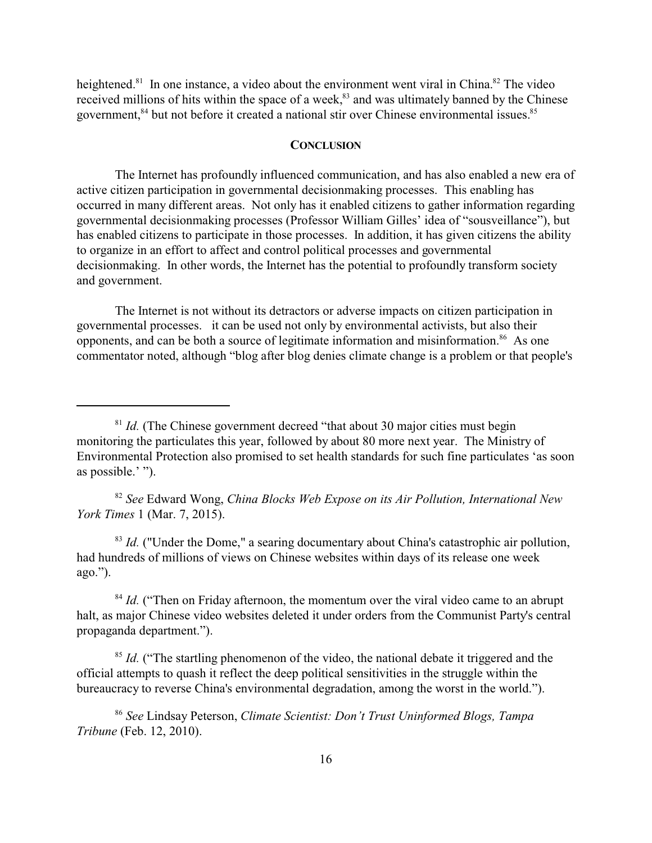heightened.<sup>81</sup> In one instance, a video about the environment went viral in China.<sup>82</sup> The video received millions of hits within the space of a week,<sup>83</sup> and was ultimately banned by the Chinese government,<sup>84</sup> but not before it created a national stir over Chinese environmental issues.<sup>85</sup>

#### **CONCLUSION**

The Internet has profoundly influenced communication, and has also enabled a new era of active citizen participation in governmental decisionmaking processes. This enabling has occurred in many different areas. Not only has it enabled citizens to gather information regarding governmental decisionmaking processes (Professor William Gilles' idea of "sousveillance"), but has enabled citizens to participate in those processes. In addition, it has given citizens the ability to organize in an effort to affect and control political processes and governmental decisionmaking. In other words, the Internet has the potential to profoundly transform society and government.

The Internet is not without its detractors or adverse impacts on citizen participation in governmental processes. it can be used not only by environmental activists, but also their opponents, and can be both a source of legitimate information and misinformation.<sup>86</sup> As one commentator noted, although "blog after blog denies climate change is a problem or that people's

<sup>82</sup> *See* Edward Wong, *China Blocks Web Expose on its Air Pollution, International New York Times* 1 (Mar. 7, 2015).

<sup>83</sup> Id. ("Under the Dome," a searing documentary about China's catastrophic air pollution, had hundreds of millions of views on Chinese websites within days of its release one week ago.").

<sup>84</sup> Id. ("Then on Friday afternoon, the momentum over the viral video came to an abrupt halt, as major Chinese video websites deleted it under orders from the Communist Party's central propaganda department.").

<sup>85</sup> Id. ("The startling phenomenon of the video, the national debate it triggered and the official attempts to quash it reflect the deep political sensitivities in the struggle within the bureaucracy to reverse China's environmental degradation, among the worst in the world.").

<sup>86</sup> *See* Lindsay Peterson, *Climate Scientist: Don't Trust Uninformed Blogs, Tampa Tribune* (Feb. 12, 2010).

<sup>&</sup>lt;sup>81</sup> *Id.* (The Chinese government decreed "that about 30 major cities must begin monitoring the particulates this year, followed by about 80 more next year. The Ministry of Environmental Protection also promised to set health standards for such fine particulates 'as soon as possible.' ").